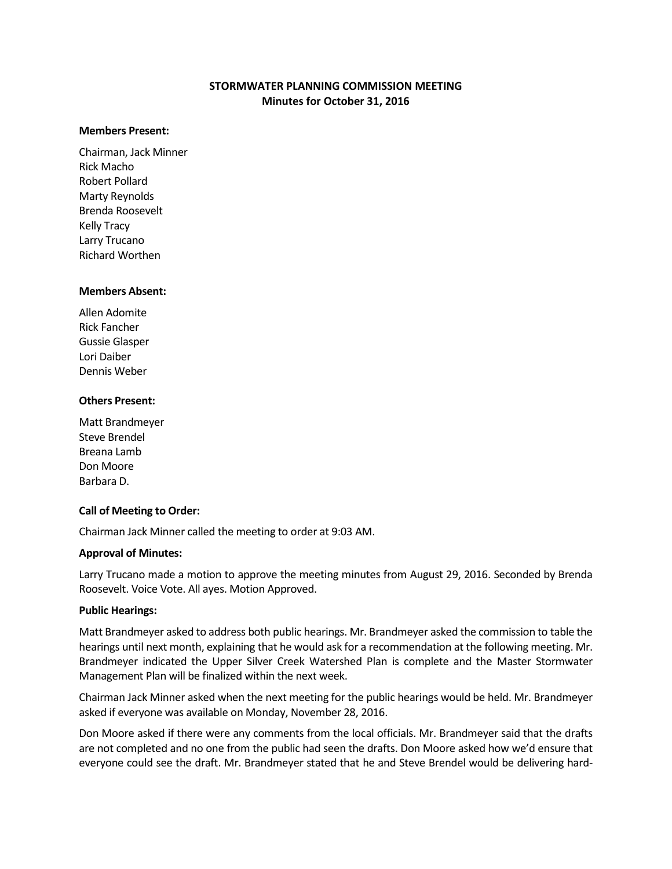# **STORMWATER PLANNING COMMISSION MEETING Minutes for October 31, 2016**

#### **Members Present:**

Chairman, Jack Minner Rick Macho Robert Pollard Marty Reynolds Brenda Roosevelt Kelly Tracy Larry Trucano Richard Worthen

#### **Members Absent:**

Allen Adomite Rick Fancher Gussie Glasper Lori Daiber Dennis Weber

### **Others Present:**

Matt Brandmeyer Steve Brendel Breana Lamb Don Moore Barbara D.

## **Call of Meeting to Order:**

Chairman Jack Minner called the meeting to order at 9:03 AM.

#### **Approval of Minutes:**

Larry Trucano made a motion to approve the meeting minutes from August 29, 2016. Seconded by Brenda Roosevelt. Voice Vote. All ayes. Motion Approved.

#### **Public Hearings:**

Matt Brandmeyer asked to address both public hearings. Mr. Brandmeyer asked the commission to table the hearings until next month, explaining that he would ask for a recommendation at the following meeting. Mr. Brandmeyer indicated the Upper Silver Creek Watershed Plan is complete and the Master Stormwater Management Plan will be finalized within the next week.

Chairman Jack Minner asked when the next meeting for the public hearings would be held. Mr. Brandmeyer asked if everyone was available on Monday, November 28, 2016.

Don Moore asked if there were any comments from the local officials. Mr. Brandmeyer said that the drafts are not completed and no one from the public had seen the drafts. Don Moore asked how we'd ensure that everyone could see the draft. Mr. Brandmeyer stated that he and Steve Brendel would be delivering hard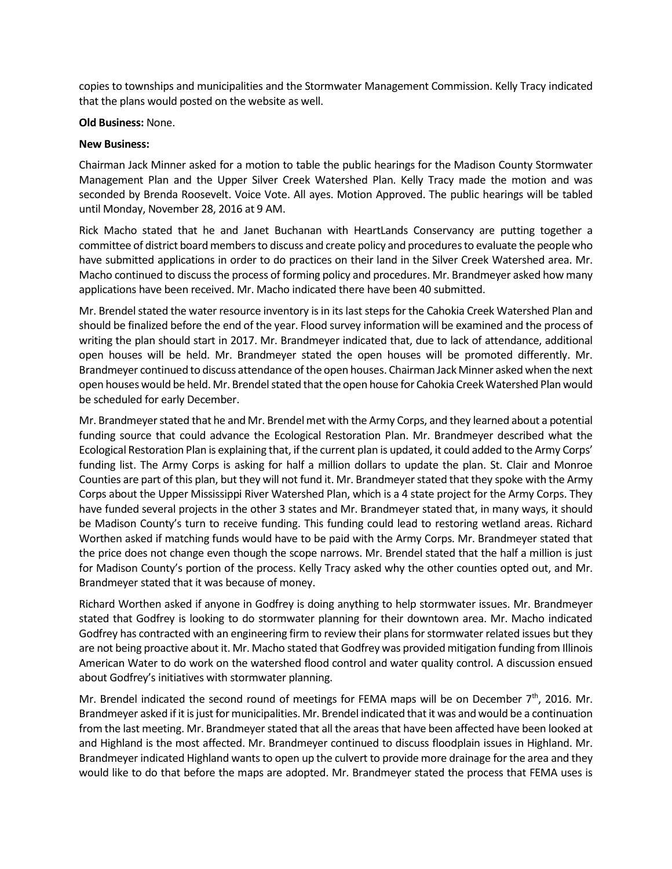copies to townships and municipalities and the Stormwater Management Commission. Kelly Tracy indicated that the plans would posted on the website as well.

#### **Old Business:** None.

### **New Business:**

Chairman Jack Minner asked for a motion to table the public hearings for the Madison County Stormwater Management Plan and the Upper Silver Creek Watershed Plan. Kelly Tracy made the motion and was seconded by Brenda Roosevelt. Voice Vote. All ayes. Motion Approved. The public hearings will be tabled until Monday, November 28, 2016 at 9 AM.

Rick Macho stated that he and Janet Buchanan with HeartLands Conservancy are putting together a committee of district board members to discuss and create policy and proceduresto evaluate the people who have submitted applications in order to do practices on their land in the Silver Creek Watershed area. Mr. Macho continued to discussthe process of forming policy and procedures. Mr. Brandmeyer asked how many applications have been received. Mr. Macho indicated there have been 40 submitted.

Mr. Brendel stated the water resource inventory is in its last steps for the Cahokia Creek Watershed Plan and should be finalized before the end of the year. Flood survey information will be examined and the process of writing the plan should start in 2017. Mr. Brandmeyer indicated that, due to lack of attendance, additional open houses will be held. Mr. Brandmeyer stated the open houses will be promoted differently. Mr. Brandmeyer continued to discuss attendance of the open houses. Chairman Jack Minner asked when the next open houses would be held. Mr. Brendel stated that the open house for Cahokia Creek Watershed Plan would be scheduled for early December.

Mr. Brandmeyer stated that he and Mr. Brendel met with the Army Corps, and they learned about a potential funding source that could advance the Ecological Restoration Plan. Mr. Brandmeyer described what the Ecological Restoration Plan is explaining that, if the current plan is updated, it could added to the Army Corps' funding list. The Army Corps is asking for half a million dollars to update the plan. St. Clair and Monroe Counties are part of this plan, but they will not fund it. Mr. Brandmeyer stated that they spoke with the Army Corps about the Upper Mississippi River Watershed Plan, which is a 4 state project for the Army Corps. They have funded several projects in the other 3 states and Mr. Brandmeyer stated that, in many ways, it should be Madison County's turn to receive funding. This funding could lead to restoring wetland areas. Richard Worthen asked if matching funds would have to be paid with the Army Corps. Mr. Brandmeyer stated that the price does not change even though the scope narrows. Mr. Brendel stated that the half a million is just for Madison County's portion of the process. Kelly Tracy asked why the other counties opted out, and Mr. Brandmeyer stated that it was because of money.

Richard Worthen asked if anyone in Godfrey is doing anything to help stormwater issues. Mr. Brandmeyer stated that Godfrey is looking to do stormwater planning for their downtown area. Mr. Macho indicated Godfrey has contracted with an engineering firm to review their plans for stormwater related issues but they are not being proactive about it. Mr. Macho stated that Godfrey was provided mitigation funding from Illinois American Water to do work on the watershed flood control and water quality control. A discussion ensued about Godfrey's initiatives with stormwater planning.

Mr. Brendel indicated the second round of meetings for FEMA maps will be on December  $7<sup>th</sup>$ , 2016. Mr. Brandmeyer asked if it is just for municipalities. Mr. Brendel indicated that it was and would be a continuation from the last meeting. Mr. Brandmeyer stated that all the areas that have been affected have been looked at and Highland is the most affected. Mr. Brandmeyer continued to discuss floodplain issues in Highland. Mr. Brandmeyer indicated Highland wants to open up the culvert to provide more drainage for the area and they would like to do that before the maps are adopted. Mr. Brandmeyer stated the process that FEMA uses is